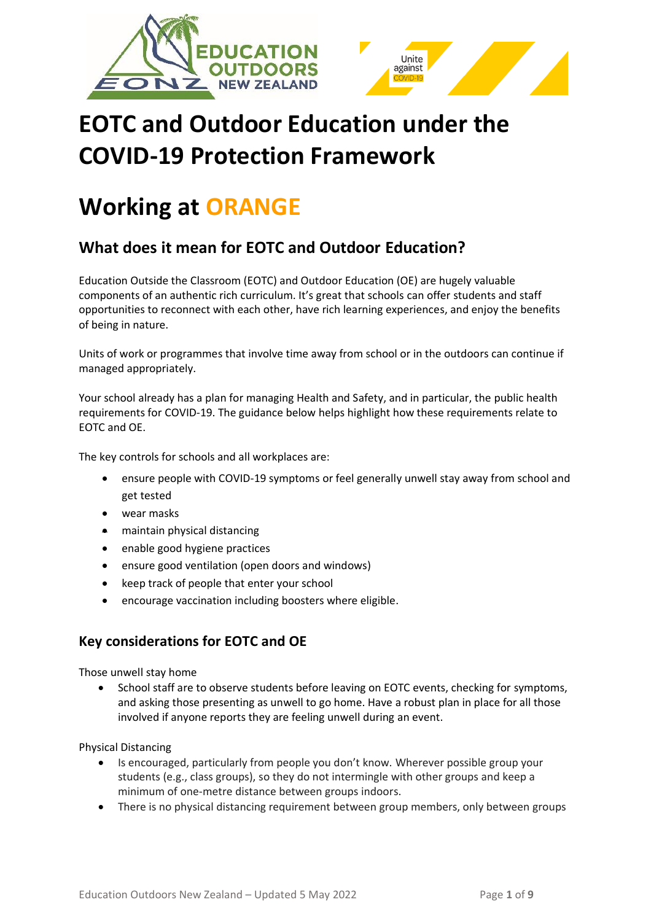



# **EOTC and Outdoor Education under the COVID-19 Protection Framework**

# **Working at ORANGE**

# **What does it mean for EOTC and Outdoor Education?**

Education Outside the Classroom (EOTC) and Outdoor Education (OE) are hugely valuable components of an authentic rich curriculum. It's great that schools can offer students and staff opportunities to reconnect with each other, have rich learning experiences, and enjoy the benefits of being in nature.

Units of work or programmes that involve time away from school or in the outdoors can continue if managed appropriately.

Your school already has a plan for managing Health and Safety, and in particular, the public health requirements for COVID-19. The guidance below helps highlight how these requirements relate to EOTC and OE.

The key controls for schools and all workplaces are:

- ensure people with COVID-19 symptoms or feel generally unwell stay away from school and get tested
- wear masks
- maintain physical distancing
- enable good hygiene practices
- ensure good ventilation (open doors and windows)
- keep track of people that enter your school
- encourage vaccination including boosters where eligible.

# **Key considerations for EOTC and OE**

Those unwell stay home

• School staff are to observe students before leaving on EOTC events, checking for symptoms, and asking those presenting as unwell to go home. Have a robust plan in place for all those involved if anyone reports they are feeling unwell during an event.

Physical Distancing

- Is encouraged, particularly from people you don't know. Wherever possible group your students (e.g., class groups), so they do not intermingle with other groups and keep a minimum of one-metre distance between groups indoors.
- There is no physical distancing requirement between group members, only between groups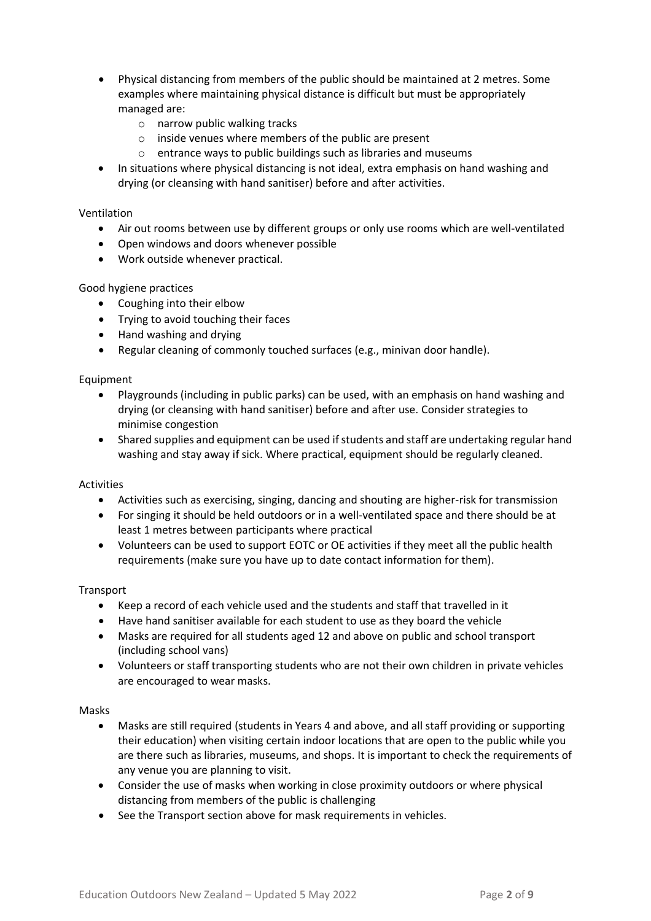- Physical distancing from members of the public should be maintained at 2 metres. Some examples where maintaining physical distance is difficult but must be appropriately managed are:
	- o narrow public walking tracks
	- o inside venues where members of the public are present
	- o entrance ways to public buildings such as libraries and museums
- In situations where physical distancing is not ideal, extra emphasis on hand washing and drying (or cleansing with hand sanitiser) before and after activities.

#### Ventilation

- Air out rooms between use by different groups or only use rooms which are well-ventilated
- Open windows and doors whenever possible
- Work outside whenever practical.

#### Good hygiene practices

- Coughing into their elbow
- Trying to avoid touching their faces
- Hand washing and drying
- Regular cleaning of commonly touched surfaces (e.g., minivan door handle).

#### Equipment

- Playgrounds (including in public parks) can be used, with an emphasis on hand washing and drying (or cleansing with hand sanitiser) before and after use. Consider strategies to minimise congestion
- Shared supplies and equipment can be used if students and staff are undertaking regular hand washing and stay away if sick. Where practical, equipment should be regularly cleaned.

#### Activities

- Activities such as exercising, singing, dancing and shouting are higher-risk for transmission
- For singing it should be held outdoors or in a well-ventilated space and there should be at least 1 metres between participants where practical
- Volunteers can be used to support EOTC or OE activities if they meet all the public health requirements (make sure you have up to date contact information for them).

#### Transport

- Keep a record of each vehicle used and the students and staff that travelled in it
- Have hand sanitiser available for each student to use as they board the vehicle
- Masks are required for all students aged 12 and above on public and school transport (including school vans)
- Volunteers or staff transporting students who are not their own children in private vehicles are encouraged to wear masks.

#### Masks

- Masks are still required (students in Years 4 and above, and all staff providing or supporting their education) when visiting certain indoor locations that are open to the public while you are there such as libraries, museums, and shops. It is important to check the requirements of any venue you are planning to visit.
- Consider the use of masks when working in close proximity outdoors or where physical distancing from members of the public is challenging
- See the Transport section above for mask requirements in vehicles.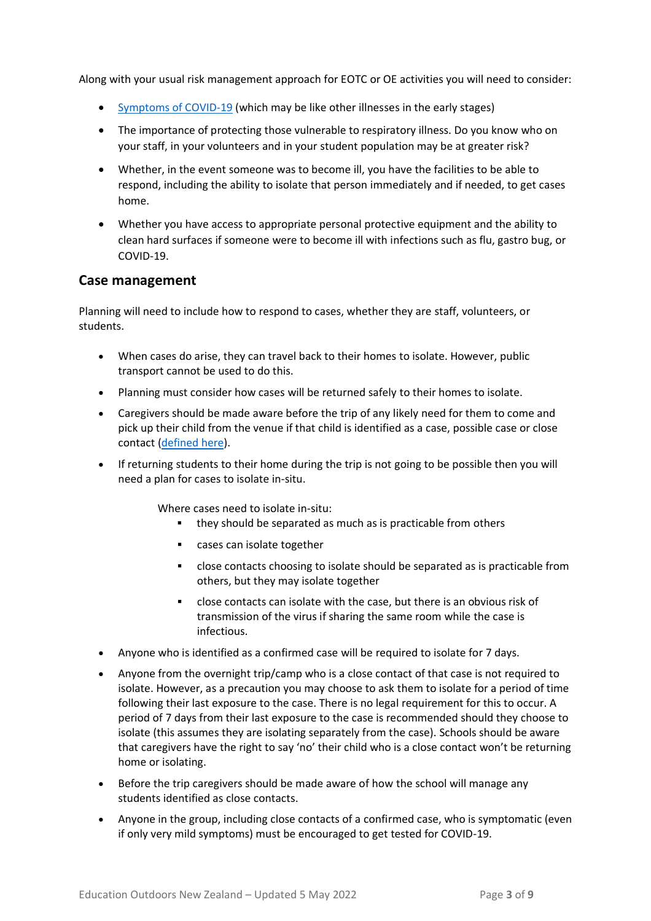Along with your usual risk management approach for EOTC or OE activities you will need to consider:

- [Symptoms of COVID-19](https://covid19.govt.nz/covid-19/about-covid-19/covid-19-symptoms/) (which may be like other illnesses in the early stages)
- The importance of protecting those vulnerable to respiratory illness. Do you know who on your staff, in your volunteers and in your student population may be at greater risk?
- Whether, in the event someone was to become ill, you have the facilities to be able to respond, including the ability to isolate that person immediately and if needed, to get cases home.
- Whether you have access to appropriate personal protective equipment and the ability to clean hard surfaces if someone were to become ill with infections such as flu, gastro bug, or COVID-19.

# **Case management**

Planning will need to include how to respond to cases, whether they are staff, volunteers, or students.

- When cases do arise, they can travel back to their homes to isolate. However, public transport cannot be used to do this.
- Planning must consider how cases will be returned safely to their homes to isolate.
- Caregivers should be made aware before the trip of any likely need for them to come and pick up their child from the venue if that child is identified as a case, possible case or close contact [\(defined here\)](https://www.health.govt.nz/covid-19-novel-coronavirus/covid-19-health-advice-public/covid-19-information-household-and-close-contacts#closecontacts).
- If returning students to their home during the trip is not going to be possible then you will need a plan for cases to isolate in-situ.

Where cases need to isolate in-situ:

- they should be separated as much as is practicable from others
- cases can isolate together
- close contacts choosing to isolate should be separated as is practicable from others, but they may isolate together
- close contacts can isolate with the case, but there is an obvious risk of transmission of the virus if sharing the same room while the case is infectious.
- Anyone who is identified as a confirmed case will be required to isolate for 7 days.
- Anyone from the overnight trip/camp who is a close contact of that case is not required to isolate. However, as a precaution you may choose to ask them to isolate for a period of time following their last exposure to the case. There is no legal requirement for this to occur. A period of 7 days from their last exposure to the case is recommended should they choose to isolate (this assumes they are isolating separately from the case). Schools should be aware that caregivers have the right to say 'no' their child who is a close contact won't be returning home or isolating.
- Before the trip caregivers should be made aware of how the school will manage any students identified as close contacts.
- Anyone in the group, including close contacts of a confirmed case, who is symptomatic (even if only very mild symptoms) must be encouraged to get tested for COVID-19.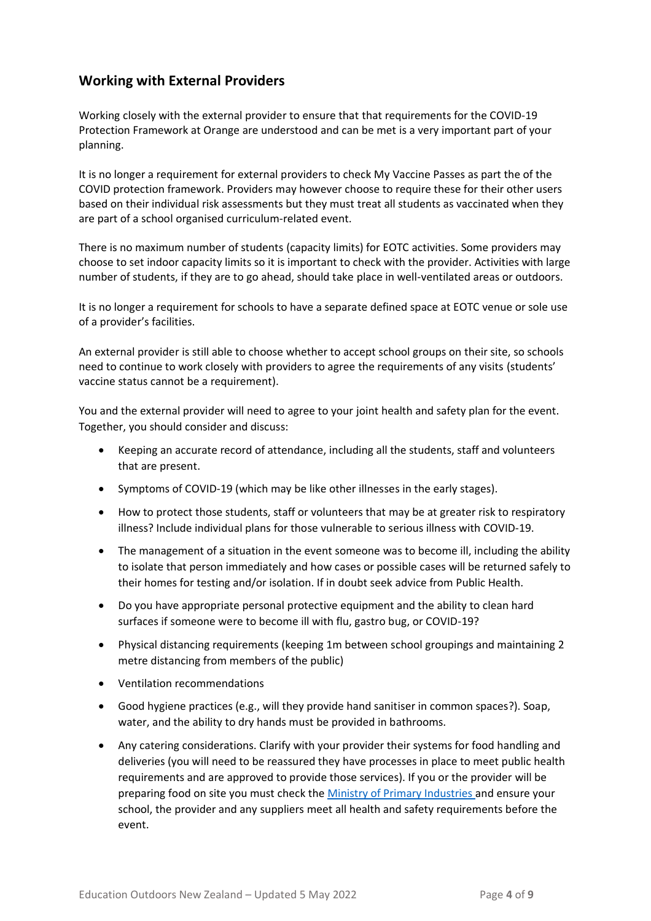# **Working with External Providers**

Working closely with the external provider to ensure that that requirements for the COVID-19 Protection Framework at Orange are understood and can be met is a very important part of your planning.

It is no longer a requirement for external providers to check My Vaccine Passes as part the of the COVID protection framework. Providers may however choose to require these for their other users based on their individual risk assessments but they must treat all students as vaccinated when they are part of a school organised curriculum-related event.

There is no maximum number of students (capacity limits) for EOTC activities. Some providers may choose to set indoor capacity limits so it is important to check with the provider. Activities with large number of students, if they are to go ahead, should take place in well-ventilated areas or outdoors.

It is no longer a requirement for schools to have a separate defined space at EOTC venue or sole use of a provider's facilities.

An external provider is still able to choose whether to accept school groups on their site, so schools need to continue to work closely with providers to agree the requirements of any visits (students' vaccine status cannot be a requirement).

You and the external provider will need to agree to your joint health and safety plan for the event. Together, you should consider and discuss:

- Keeping an accurate record of attendance, including all the students, staff and volunteers that are present.
- Symptoms of COVID-19 (which may be like other illnesses in the early stages).
- How to protect those students, staff or volunteers that may be at greater risk to respiratory illness? Include individual plans for those vulnerable to serious illness with COVID-19.
- The management of a situation in the event someone was to become ill, including the ability to isolate that person immediately and how cases or possible cases will be returned safely to their homes for testing and/or isolation. If in doubt seek advice from Public Health.
- Do you have appropriate personal protective equipment and the ability to clean hard surfaces if someone were to become ill with flu, gastro bug, or COVID-19?
- Physical distancing requirements (keeping 1m between school groupings and maintaining 2 metre distancing from members of the public)
- Ventilation recommendations
- Good hygiene practices (e.g., will they provide hand sanitiser in common spaces?). Soap, water, and the ability to dry hands must be provided in bathrooms.
- Any catering considerations. Clarify with your provider their systems for food handling and deliveries (you will need to be reassured they have processes in place to meet public health requirements and are approved to provide those services). If you or the provider will be preparing food on site you must check the [Ministry of Primary Industries](https://www.mpi.govt.nz/covid-19-information-and-advice/covid-19-and-food-safety/covid-19-and-food-safety-in-alert-level-2/) and ensure your school, the provider and any suppliers meet all health and safety requirements before the event.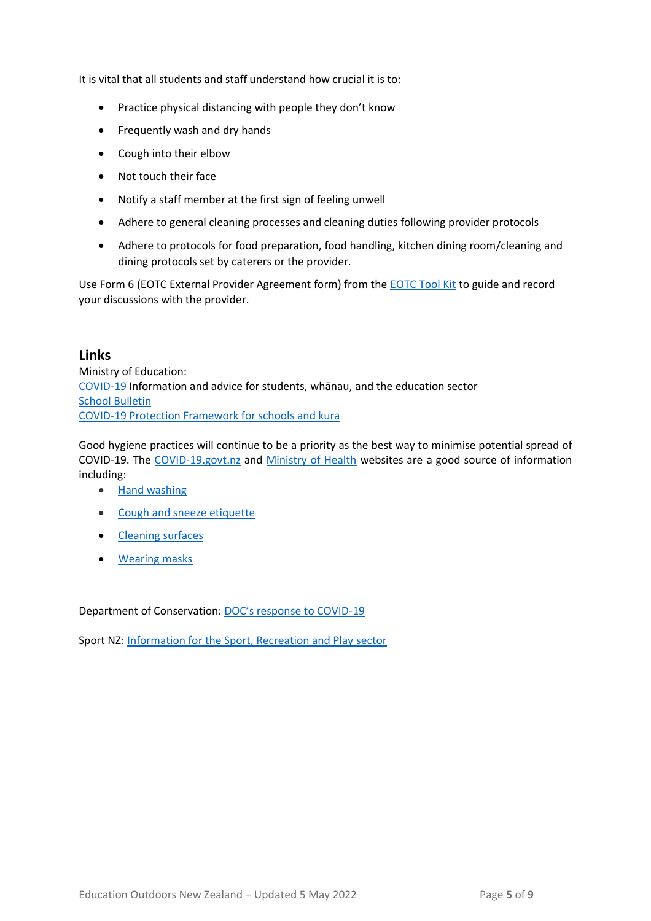It is vital that all students and staff understand how crucial it is to:

- Practice physical distancing with people they don't know
- Frequently wash and dry hands
- Cough into their elbow
- Not touch their face
- Notify a staff member at the first sign of feeling unwell
- Adhere to general cleaning processes and cleaning duties following provider protocols
- Adhere to protocols for food preparation, food handling, kitchen dining room/cleaning and dining protocols set by caterers or the provider.

Use Form 6 (EOTC External Provider Agreement form) from the [EOTC Tool Kit](http://eotc.tki.org.nz/EOTC-home/EOTC-Guidelines/Tool-Kit) to guide and record your discussions with the provider.

## **Links**

Ministry of Education: [COVID-19](https://temahau.govt.nz/covid-19) Information and advice for students, whānau, and the education sector [School Bulletin](https://bulletins.education.govt.nz/)  [COVID-19 Protection Framework for schools and kura](https://temahau.govt.nz/covid-19/advice-schools-and-kura/covid-19-protection-framework-schools-and-kura)

Good hygiene practices will continue to be a priority as the best way to minimise potential spread of COVID-19. The [COVID-19.govt.nz](https://covid19.govt.nz/covid-19/) and [Ministry of Health](https://www.health.govt.nz/our-work/diseases-and-conditions/covid-19-novel-coronavirus/) websites are a good source of information including:

- [Hand washing](https://covid19.govt.nz/covid-19/how-were-uniting/wash-your-hands/)
- [Cough and sneeze etiquette](https://covid19.govt.nz/covid-19/how-were-uniting/cough-or-sneeze-into-your-elbow/)
- [Cleaning surfaces](https://covid19.govt.nz/covid-19/how-were-uniting/cleaning-surfaces/)
- [Wearing mask](https://covid19.govt.nz/health-and-wellbeing/protect-yourself-and-others-from-covid-19/wear-a-face-covering/)s

Department of Conservation: [DOC's response to COVID](https://www.doc.govt.nz/news/issues/covid-19/)-19

Sport NZ: [Information for the Sport, Recreation and Play sector](https://sportnz.org.nz/covid-19-response/overview/)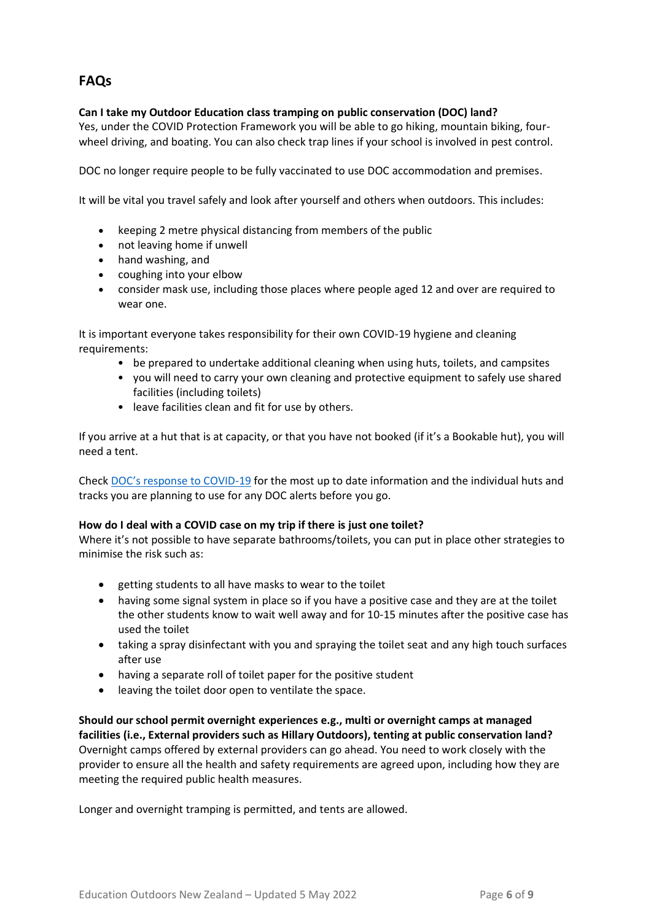# **FAQs**

## **Can I take my Outdoor Education class tramping on public conservation (DOC) land?**

Yes, under the COVID Protection Framework you will be able to go hiking, mountain biking, fourwheel driving, and boating. You can also check trap lines if your school is involved in pest control.

DOC no longer require people to be fully vaccinated to use DOC accommodation and premises.

It will be vital you travel safely and look after yourself and others when outdoors. This includes:

- keeping 2 metre physical distancing from members of the public
- not leaving home if unwell
- hand washing, and
- coughing into your elbow
- consider mask use, including those places where people aged 12 and over are required to wear one.

It is important everyone takes responsibility for their own COVID-19 hygiene and cleaning requirements:

- be prepared to undertake additional cleaning when using huts, toilets, and campsites
- you will need to carry your own cleaning and protective equipment to safely use shared facilities (including toilets)
- leave facilities clean and fit for use by others.

If you arrive at a hut that is at capacity, or that you have not booked (if it's a Bookable hut), you will need a tent.

Check [DOC's response to COVID](https://www.doc.govt.nz/news/issues/covid-19/)-19 for the most up to date information and the individual huts and tracks you are planning to use for any DOC alerts before you go.

#### **How do I deal with a COVID case on my trip if there is just one toilet?**

Where it's not possible to have separate bathrooms/toilets, you can put in place other strategies to minimise the risk such as:

- getting students to all have masks to wear to the toilet
- having some signal system in place so if you have a positive case and they are at the toilet the other students know to wait well away and for 10-15 minutes after the positive case has used the toilet
- taking a spray disinfectant with you and spraying the toilet seat and any high touch surfaces after use
- having a separate roll of toilet paper for the positive student
- leaving the toilet door open to ventilate the space.

**Should our school permit overnight experiences e.g., multi or overnight camps at managed facilities (i.e., External providers such as Hillary Outdoors), tenting at public conservation land?** Overnight camps offered by external providers can go ahead. You need to work closely with the provider to ensure all the health and safety requirements are agreed upon, including how they are meeting the required public health measures.

Longer and overnight tramping is permitted, and tents are allowed.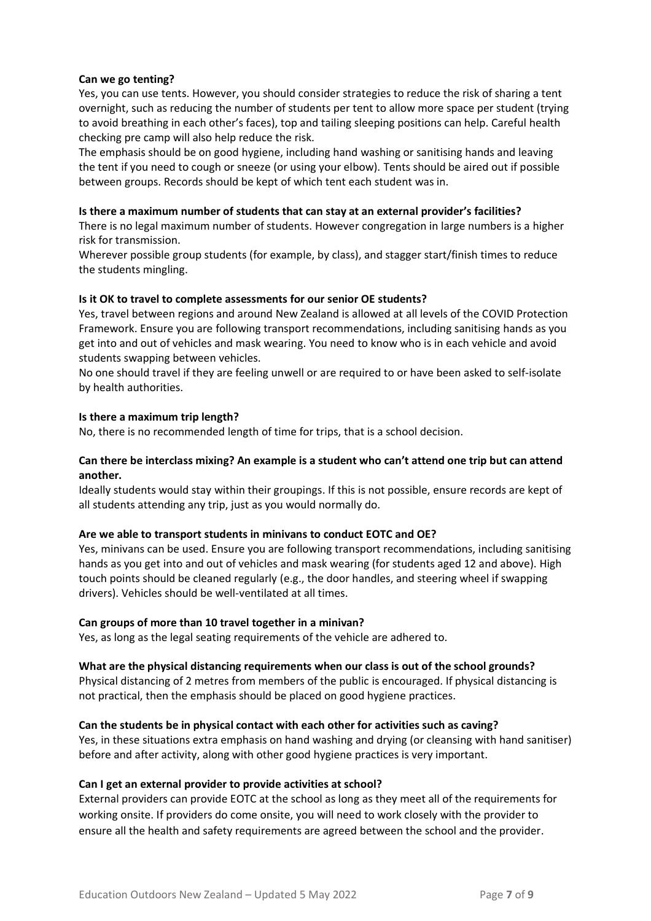#### **Can we go tenting?**

Yes, you can use tents. However, you should consider strategies to reduce the risk of sharing a tent overnight, such as reducing the number of students per tent to allow more space per student (trying to avoid breathing in each other's faces), top and tailing sleeping positions can help. Careful health checking pre camp will also help reduce the risk.

The emphasis should be on good hygiene, including hand washing or sanitising hands and leaving the tent if you need to cough or sneeze (or using your elbow). Tents should be aired out if possible between groups. Records should be kept of which tent each student was in.

#### **Is there a maximum number of students that can stay at an external provider's facilities?**

There is no legal maximum number of students. However congregation in large numbers is a higher risk for transmission.

Wherever possible group students (for example, by class), and stagger start/finish times to reduce the students mingling.

### **Is it OK to travel to complete assessments for our senior OE students?**

Yes, travel between regions and around New Zealand is allowed at all levels of the COVID Protection Framework. Ensure you are following transport recommendations, including sanitising hands as you get into and out of vehicles and mask wearing. You need to know who is in each vehicle and avoid students swapping between vehicles.

No one should travel if they are feeling unwell or are required to or have been asked to self-isolate by health authorities.

### **Is there a maximum trip length?**

No, there is no recommended length of time for trips, that is a school decision.

### **Can there be interclass mixing? An example is a student who can't attend one trip but can attend another.**

Ideally students would stay within their groupings. If this is not possible, ensure records are kept of all students attending any trip, just as you would normally do.

#### **Are we able to transport students in minivans to conduct EOTC and OE?**

Yes, minivans can be used. Ensure you are following transport recommendations, including sanitising hands as you get into and out of vehicles and mask wearing (for students aged 12 and above). High touch points should be cleaned regularly (e.g., the door handles, and steering wheel if swapping drivers). Vehicles should be well-ventilated at all times.

#### **Can groups of more than 10 travel together in a minivan?**

Yes, as long as the legal seating requirements of the vehicle are adhered to.

#### **What are the physical distancing requirements when our class is out of the school grounds?**

Physical distancing of 2 metres from members of the public is encouraged. If physical distancing is not practical, then the emphasis should be placed on good hygiene practices.

## **Can the students be in physical contact with each other for activities such as caving?**

Yes, in these situations extra emphasis on hand washing and drying (or cleansing with hand sanitiser) before and after activity, along with other good hygiene practices is very important.

#### **Can I get an external provider to provide activities at school?**

External providers can provide EOTC at the school as long as they meet all of the requirements for working onsite. If providers do come onsite, you will need to work closely with the provider to ensure all the health and safety requirements are agreed between the school and the provider.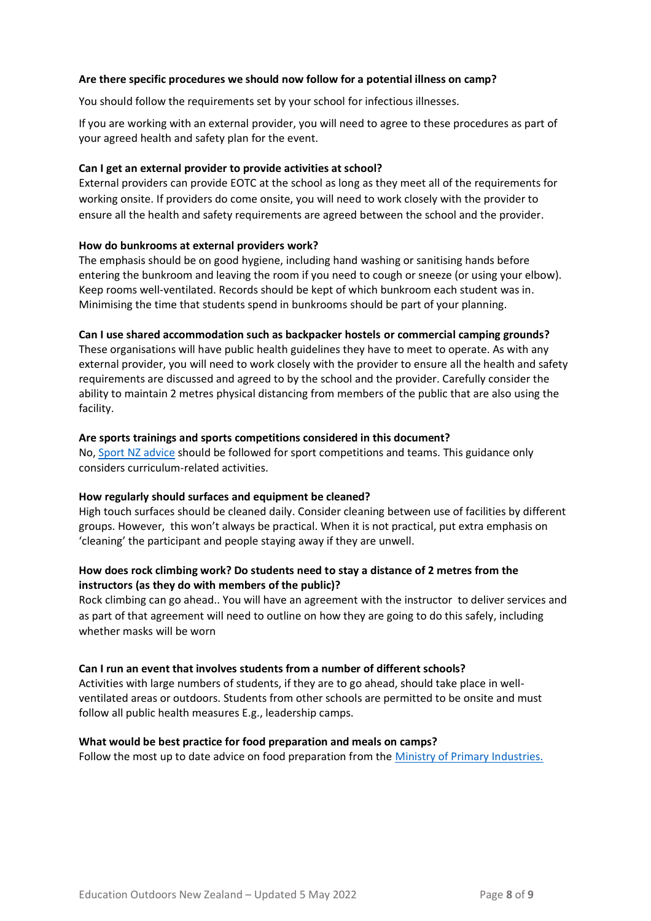#### **Are there specific procedures we should now follow for a potential illness on camp?**

You should follow the requirements set by your school for infectious illnesses.

If you are working with an external provider, you will need to agree to these procedures as part of your agreed health and safety plan for the event.

#### **Can I get an external provider to provide activities at school?**

External providers can provide EOTC at the school as long as they meet all of the requirements for working onsite. If providers do come onsite, you will need to work closely with the provider to ensure all the health and safety requirements are agreed between the school and the provider.

#### **How do bunkrooms at external providers work?**

The emphasis should be on good hygiene, including hand washing or sanitising hands before entering the bunkroom and leaving the room if you need to cough or sneeze (or using your elbow). Keep rooms well-ventilated. Records should be kept of which bunkroom each student was in. Minimising the time that students spend in bunkrooms should be part of your planning.

#### **Can I use shared accommodation such as backpacker hostels or commercial camping grounds?**

These organisations will have public health guidelines they have to meet to operate. As with any external provider, you will need to work closely with the provider to ensure all the health and safety requirements are discussed and agreed to by the school and the provider. Carefully consider the ability to maintain 2 metres physical distancing from members of the public that are also using the facility.

#### **Are sports trainings and sports competitions considered in this document?**

No, [Sport NZ advice](https://sportnz.org.nz/resources/play-active-recreation-and-sport-at-alert-level-2/) should be followed for sport competitions and teams. This guidance only considers curriculum-related activities.

#### **How regularly should surfaces and equipment be cleaned?**

High touch surfaces should be cleaned daily. Consider cleaning between use of facilities by different groups. However, this won't always be practical. When it is not practical, put extra emphasis on 'cleaning' the participant and people staying away if they are unwell.

### **How does rock climbing work? Do students need to stay a distance of 2 metres from the instructors (as they do with members of the public)?**

Rock climbing can go ahead.. You will have an agreement with the instructor to deliver services and as part of that agreement will need to outline on how they are going to do this safely, including whether masks will be worn

#### **Can I run an event that involves students from a number of different schools?**

Activities with large numbers of students, if they are to go ahead, should take place in wellventilated areas or outdoors. Students from other schools are permitted to be onsite and must follow all public health measures E.g., leadership camps.

#### **What would be best practice for food preparation and meals on camps?**

Follow the most up to date advice on food preparation from the [Ministry of Primary Industries.](https://www.mpi.govt.nz/covid-19-information-and-advice/covid-19-and-food-safety/covid-19-and-food-safety-in-alert-level-2/)